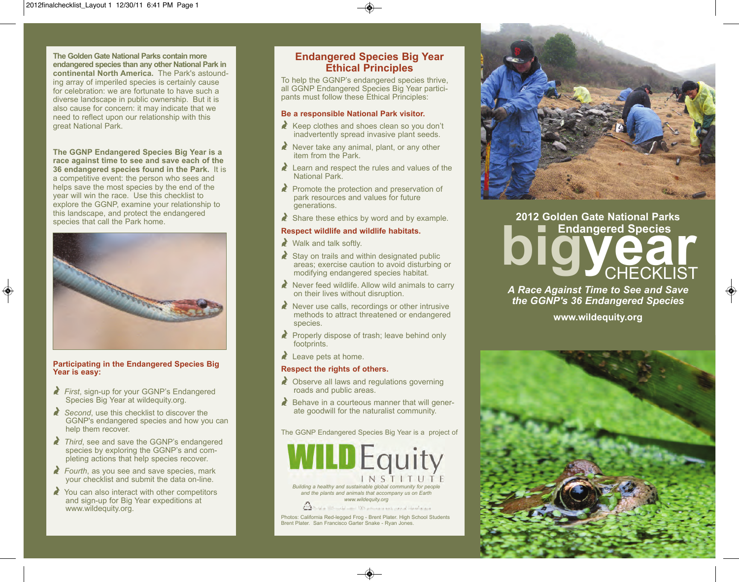**The Golden Gate National Parks contain more endangered species than any other National Park in continental North America.** The Park's astounding array of imperiled species is certainly cause for celebration: we are fortunate to have such a diverse landscape in public ownership. But it is also cause for concern: it may indicate that we need to reflect upon our relationship with this great National Park.

**The GGNP Endangered Species Big Year is a race against time to see and save each of the 36 endangered species found in the Park.** It is a competitive event: the person who sees and helps save the most species by the end of the year will win the race. Use this checklist to explore the GGNP, examine your relationship to this landscape, and protect the endangered species that call the Park home.



#### **Participating in the Endangered Species Big Year is easy:**

- Y *First*, sign-up for your GGNP's Endangered Species Big Year at wildequity.org.
- Second, use this checklist to discover the GGNP's endangered species and how you can help them recover.
- Third, see and save the GGNP's endangered species by exploring the GGNP's and completing actions that help species recover.
- **Fourth, as you see and save species, mark** your checklist and submit the data on-line.
- $\triangle$  You can also interact with other competitors and sign-up for Big Year expeditions at www.wildequity.org.

## **Endangered Species Big Year Ethical Principles**

To help the GGNP's endangered species thrive, all GGNP Endangered Species Big Year participants must follow these Ethical Principles:

#### **Be a responsible National Park visitor.**

- $\lambda$  Keep clothes and shoes clean so you don't inadvertently spread invasive plant seeds.
- $\lambda$  Never take any animal, plant, or any other item from the Park.
- $\lambda$  Learn and respect the rules and values of the National Park.
- $\lambda$  Promote the protection and preservation of park resources and values for future generations.
- $\triangle$  Share these ethics by word and by example.

#### **Respect wildlife and wildlife habitats.**

 $\triangle$  Walk and talk softly.

- $\triangle$  Stay on trails and within designated public areas; exercise caution to avoid disturbing or modifying endangered species habitat.
- $\triangle$  Never feed wildlife. Allow wild animals to carry on their lives without disruption.
- $\lambda$  Never use calls, recordings or other intrusive methods to attract threatened or endangered species.
- $\triangle$  Properly dispose of trash; leave behind only footprints.
- $\lambda$  Leave pets at home.

### **Respect the rights of others.**

- $\triangle$  Observe all laws and regulations governing roads and public areas.
- $\triangle$  Behave in a courteous manner that will generate goodwill for the naturalist community.

The GGNP Endangered Species Big Year is a project of



Brent Plater. San Francisco Garter Snake - Ryan Jones.



# **biggered Species 2012 Golden Gate National Parks CHECKLIST**

*A Race Against Time to See and Save the GGNP's 36 Endangered Species*

**www.wildequity.org**